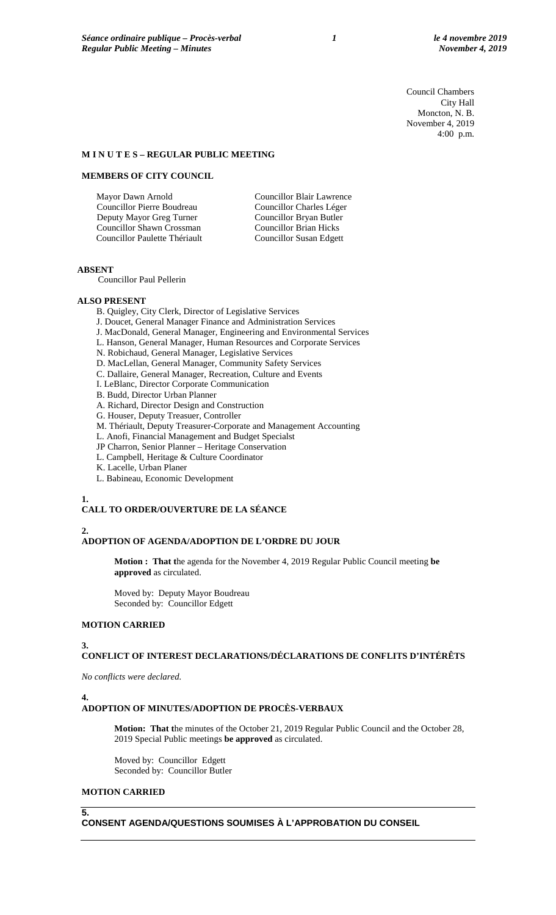Council Chambers City Hall Moncton, N. B. November 4, 2019 4:00 p.m.

## **M I N U T E S – REGULAR PUBLIC MEETING**

# **MEMBERS OF CITY COUNCIL**

Mayor Dawn Arnold Councillor Pierre Boudreau Deputy Mayor Greg Turner Councillor Shawn Crossman Councillor Paulette Thériault Councillor Blair Lawrence Councillor Charles Léger Councillor Bryan Butler Councillor Brian Hicks Councillor Susan Edgett

# **ABSENT**

Councillor Paul Pellerin

## **ALSO PRESENT**

B. Quigley, City Clerk, Director of Legislative Services

- J. Doucet, General Manager Finance and Administration Services
- J. MacDonald, General Manager, Engineering and Environmental Services
- L. Hanson, General Manager, Human Resources and Corporate Services
- N. Robichaud, General Manager, Legislative Services
- D. MacLellan, General Manager, Community Safety Services
- C. Dallaire, General Manager, Recreation, Culture and Events
- I. LeBlanc, Director Corporate Communication
- B. Budd, Director Urban Planner
- A. Richard, Director Design and Construction
- G. Houser, Deputy Treasuer, Controller
- M. Thériault, Deputy Treasurer-Corporate and Management Accounting
- L. Anofi, Financial Management and Budget Specialst
- JP Charron, Senior Planner Heritage Conservation
- L. Campbell, Heritage & Culture Coordinator
- K. Lacelle, Urban Planer
- L. Babineau, Economic Development

# **1.**

# **CALL TO ORDER/OUVERTURE DE LA SÉANCE**

## **2.**

# **ADOPTION OF AGENDA/ADOPTION DE L'ORDRE DU JOUR**

**Motion : That t**he agenda for the November 4, 2019 Regular Public Council meeting **be approved** as circulated.

Moved by: Deputy Mayor Boudreau Seconded by: Councillor Edgett

## **MOTION CARRIED**

## **3.**

**CONFLICT OF INTEREST DECLARATIONS/DÉCLARATIONS DE CONFLITS D'INTÉRÊTS**

*No conflicts were declared.*

## **4.**

# **ADOPTION OF MINUTES/ADOPTION DE PROCÈS-VERBAUX**

**Motion: That t**he minutes of the October 21, 2019 Regular Public Council and the October 28, 2019 Special Public meetings **be approved** as circulated.

Moved by: Councillor Edgett Seconded by: Councillor Butler

# **MOTION CARRIED**

**5.**

**CONSENT AGENDA/QUESTIONS SOUMISES À L'APPROBATION DU CONSEIL**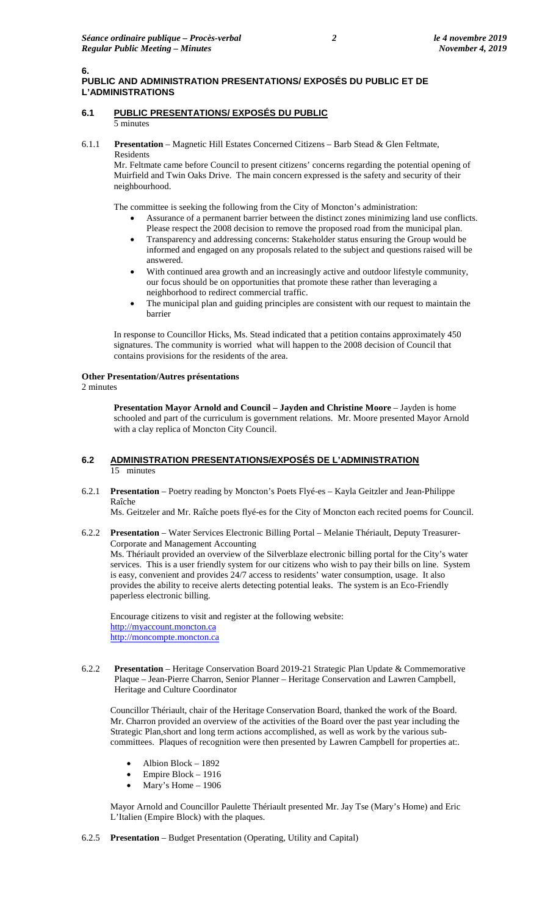# **PUBLIC AND ADMINISTRATION PRESENTATIONS/ EXPOSÉS DU PUBLIC ET DE L'ADMINISTRATIONS**

### **6.1 PUBLIC PRESENTATIONS/ EXPOSÉS DU PUBLIC** 5 minutes

6.1.1 **Presentation** – Magnetic Hill Estates Concerned Citizens – Barb Stead & Glen Feltmate, Residents

Mr. Feltmate came before Council to present citizens' concerns regarding the potential opening of Muirfield and Twin Oaks Drive. The main concern expressed is the safety and security of their neighbourhood.

The committee is seeking the following from the City of Moncton's administration:

- Assurance of a permanent barrier between the distinct zones minimizing land use conflicts. Please respect the 2008 decision to remove the proposed road from the municipal plan.
- Transparency and addressing concerns: Stakeholder status ensuring the Group would be informed and engaged on any proposals related to the subject and questions raised will be answered.
- With continued area growth and an increasingly active and outdoor lifestyle community, our focus should be on opportunities that promote these rather than leveraging a neighborhood to redirect commercial traffic.
- The municipal plan and guiding principles are consistent with our request to maintain the barrier

In response to Councillor Hicks, Ms. Stead indicated that a petition contains approximately 450 signatures. The community is worried what will happen to the 2008 decision of Council that contains provisions for the residents of the area.

# **Other Presentation/Autres présentations**

2 minutes

**6.**

**Presentation Mayor Arnold and Council – Jayden and Christine Moore** – Jayden is home schooled and part of the curriculum is government relations. Mr. Moore presented Mayor Arnold with a clay replica of Moncton City Council.

# **6.2 ADMINISTRATION PRESENTATIONS/EXPOSÉS DE L'ADMINISTRATION**  15 minutes

6.2.1 **Presentation** – Poetry reading by Moncton's Poets Flyé-es – Kayla Geitzler and Jean-Philippe Raîche

Ms. Geitzeler and Mr. Raîche poets flyé-es for the City of Moncton each recited poems for Council.

6.2.2 **Presentation** – Water Services Electronic Billing Portal – Melanie Thériault, Deputy Treasurer-Corporate and Management Accounting Ms. Thériault provided an overview of the Silverblaze electronic billing portal for the City's water services. This is a user friendly system for our citizens who wish to pay their bills on line. System is easy, convenient and provides 24/7 access to residents' water consumption, usage. It also provides the ability to receive alerts detecting potential leaks. The system is an Eco-Friendly paperless electronic billing.

Encourage citizens to visit and register at the following website: [http://myaccount.moncton.ca](http://myaccount.moncton.ca/) [http://moncompte.moncton.ca](http://moncompte.moncton.ca/)

6.2.2 **Presentation** – Heritage Conservation Board 2019-21 Strategic Plan Update & Commemorative Plaque – Jean-Pierre Charron, Senior Planner – Heritage Conservation and Lawren Campbell, Heritage and Culture Coordinator

Councillor Thériault, chair of the Heritage Conservation Board, thanked the work of the Board. Mr. Charron provided an overview of the activities of the Board over the past year including the Strategic Plan,short and long term actions accomplished, as well as work by the various subcommittees. Plaques of recognition were then presented by Lawren Campbell for properties at:.

- Albion Block 1892
- Empire Block 1916
- Mary's Home 1906

Mayor Arnold and Councillor Paulette Thériault presented Mr. Jay Tse (Mary's Home) and Eric L'Italien (Empire Block) with the plaques.

6.2.5 **Presentation** – Budget Presentation (Operating, Utility and Capital)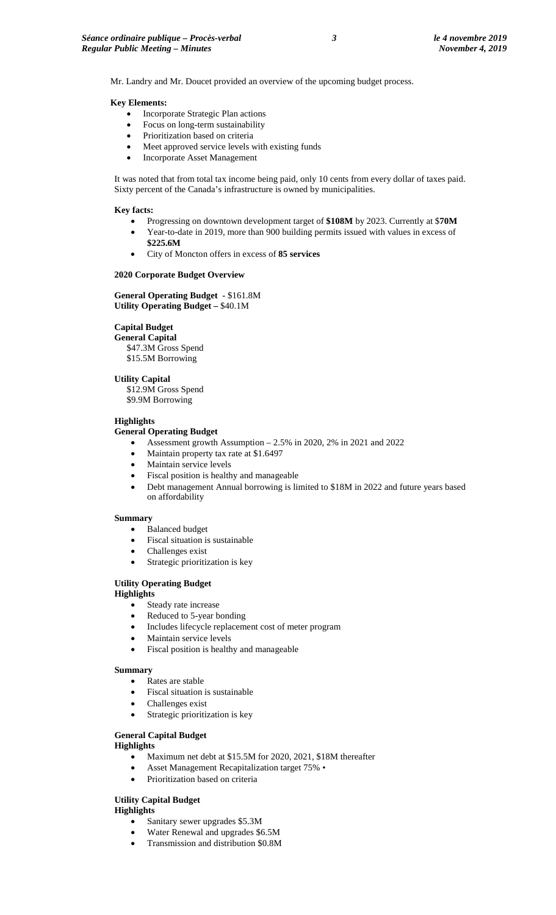Mr. Landry and Mr. Doucet provided an overview of the upcoming budget process.

### **Key Elements:**

- Incorporate Strategic Plan actions
- Focus on long-term sustainability
- Prioritization based on criteria
- Meet approved service levels with existing funds
- Incorporate Asset Management

It was noted that from total tax income being paid, only 10 cents from every dollar of taxes paid. Sixty percent of the Canada's infrastructure is owned by municipalities.

### **Key facts:**

- Progressing on downtown development target of **\$108M** by 2023. Currently at \$**70M**
- Year-to-date in 2019, more than 900 building permits issued with values in excess of **\$225.6M**
- City of Moncton offers in excess of **85 services**

### **2020 Corporate Budget Overview**

# **General Operating Budget -** \$161.8M **Utility Operating Budget –** \$40.1M

# **Capital Budget**

**General Capital**  \$47.3M Gross Spend \$15.5M Borrowing

## **Utility Capital**

\$12.9M Gross Spend \$9.9M Borrowing

### **Highlights**

## **General Operating Budget**

- Assessment growth Assumption 2.5% in 2020, 2% in 2021 and 2022
- Maintain property tax rate at \$1.6497
- Maintain service levels
- Fiscal position is healthy and manageable
- Debt management Annual borrowing is limited to \$18M in 2022 and future years based on affordability

### **Summary**

- Balanced budget
- Fiscal situation is sustainable
- Challenges exist
- Strategic prioritization is key

# **Utility Operating Budget**

# **Highlights**

- Steady rate increase
- Reduced to 5-year bonding
- Includes lifecycle replacement cost of meter program
- Maintain service levels
- Fiscal position is healthy and manageable

# **Summary**

- Rates are stable
- Fiscal situation is sustainable
- Challenges exist
- Strategic prioritization is key

# **General Capital Budget**

**Highlights**

- Maximum net debt at \$15.5M for 2020, 2021, \$18M thereafter
- Asset Management Recapitalization target 75% •
- Prioritization based on criteria

# **Utility Capital Budget**

**Highlights**

- Sanitary sewer upgrades \$5.3M
- Water Renewal and upgrades \$6.5M
- Transmission and distribution \$0.8M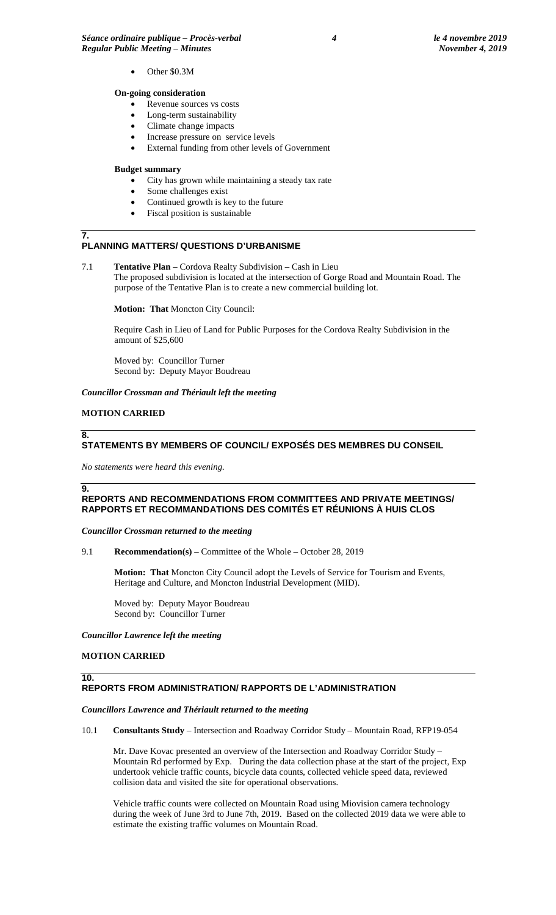• Other \$0.3M

## **On-going consideration**

- Revenue sources vs costs
- Long-term sustainability
- Climate change impacts
- Increase pressure on service levels
- External funding from other levels of Government

### **Budget summary**

- City has grown while maintaining a steady tax rate
- Some challenges exist
- Continued growth is key to the future
- Fiscal position is sustainable

### **7. PLANNING MATTERS/ QUESTIONS D'URBANISME**

7.1 **Tentative Plan** – Cordova Realty Subdivision – Cash in Lieu The proposed subdivision is located at the intersection of Gorge Road and Mountain Road. The purpose of the Tentative Plan is to create a new commercial building lot.

**Motion: That** Moncton City Council:

Require Cash in Lieu of Land for Public Purposes for the Cordova Realty Subdivision in the amount of \$25,600

Moved by: Councillor Turner Second by: Deputy Mayor Boudreau

*Councillor Crossman and Thériault left the meeting* 

# **MOTION CARRIED**

# **STATEMENTS BY MEMBERS OF COUNCIL/ EXPOSÉS DES MEMBRES DU CONSEIL**

*No statements were heard this evening.*

## **9.**

**10.**

**8.**

# **REPORTS AND RECOMMENDATIONS FROM COMMITTEES AND PRIVATE MEETINGS/ RAPPORTS ET RECOMMANDATIONS DES COMITÉS ET RÉUNIONS À HUIS CLOS**

*Councillor Crossman returned to the meeting*

9.1 **Recommendation(s)** – Committee of the Whole – October 28, 2019

**Motion: That** Moncton City Council adopt the Levels of Service for Tourism and Events, Heritage and Culture, and Moncton Industrial Development (MID).

Moved by: Deputy Mayor Boudreau Second by: Councillor Turner

*Councillor Lawrence left the meeting*

## **MOTION CARRIED**

# **REPORTS FROM ADMINISTRATION/ RAPPORTS DE L'ADMINISTRATION**

*Councillors Lawrence and Thériault returned to the meeting*

10.1 **Consultants Study** – Intersection and Roadway Corridor Study – Mountain Road, RFP19-054

Mr. Dave Kovac presented an overview of the Intersection and Roadway Corridor Study – Mountain Rd performed by Exp. During the data collection phase at the start of the project, Exp undertook vehicle traffic counts, bicycle data counts, collected vehicle speed data, reviewed collision data and visited the site for operational observations.

Vehicle traffic counts were collected on Mountain Road using Miovision camera technology during the week of June 3rd to June 7th, 2019. Based on the collected 2019 data we were able to estimate the existing traffic volumes on Mountain Road.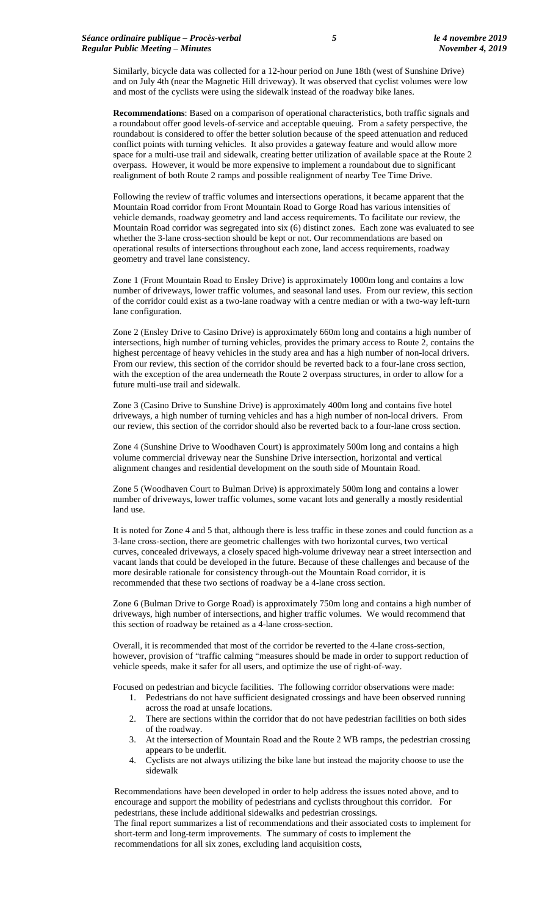Similarly, bicycle data was collected for a 12-hour period on June 18th (west of Sunshine Drive) and on July 4th (near the Magnetic Hill driveway). It was observed that cyclist volumes were low and most of the cyclists were using the sidewalk instead of the roadway bike lanes.

**Recommendations**: Based on a comparison of operational characteristics, both traffic signals and a roundabout offer good levels-of-service and acceptable queuing. From a safety perspective, the roundabout is considered to offer the better solution because of the speed attenuation and reduced conflict points with turning vehicles. It also provides a gateway feature and would allow more space for a multi-use trail and sidewalk, creating better utilization of available space at the Route 2 overpass. However, it would be more expensive to implement a roundabout due to significant realignment of both Route 2 ramps and possible realignment of nearby Tee Time Drive.

Following the review of traffic volumes and intersections operations, it became apparent that the Mountain Road corridor from Front Mountain Road to Gorge Road has various intensities of vehicle demands, roadway geometry and land access requirements. To facilitate our review, the Mountain Road corridor was segregated into six (6) distinct zones. Each zone was evaluated to see whether the 3-lane cross-section should be kept or not. Our recommendations are based on operational results of intersections throughout each zone, land access requirements, roadway geometry and travel lane consistency.

Zone 1 (Front Mountain Road to Ensley Drive) is approximately 1000m long and contains a low number of driveways, lower traffic volumes, and seasonal land uses. From our review, this section of the corridor could exist as a two-lane roadway with a centre median or with a two-way left-turn lane configuration.

Zone 2 (Ensley Drive to Casino Drive) is approximately 660m long and contains a high number of intersections, high number of turning vehicles, provides the primary access to Route 2, contains the highest percentage of heavy vehicles in the study area and has a high number of non-local drivers. From our review, this section of the corridor should be reverted back to a four-lane cross section, with the exception of the area underneath the Route 2 overpass structures, in order to allow for a future multi-use trail and sidewalk.

Zone 3 (Casino Drive to Sunshine Drive) is approximately 400m long and contains five hotel driveways, a high number of turning vehicles and has a high number of non-local drivers. From our review, this section of the corridor should also be reverted back to a four-lane cross section.

Zone 4 (Sunshine Drive to Woodhaven Court) is approximately 500m long and contains a high volume commercial driveway near the Sunshine Drive intersection, horizontal and vertical alignment changes and residential development on the south side of Mountain Road.

Zone 5 (Woodhaven Court to Bulman Drive) is approximately 500m long and contains a lower number of driveways, lower traffic volumes, some vacant lots and generally a mostly residential land use.

It is noted for Zone 4 and 5 that, although there is less traffic in these zones and could function as a 3-lane cross-section, there are geometric challenges with two horizontal curves, two vertical curves, concealed driveways, a closely spaced high-volume driveway near a street intersection and vacant lands that could be developed in the future. Because of these challenges and because of the more desirable rationale for consistency through-out the Mountain Road corridor, it is recommended that these two sections of roadway be a 4-lane cross section.

Zone 6 (Bulman Drive to Gorge Road) is approximately 750m long and contains a high number of driveways, high number of intersections, and higher traffic volumes. We would recommend that this section of roadway be retained as a 4-lane cross-section.

Overall, it is recommended that most of the corridor be reverted to the 4-lane cross-section, however, provision of "traffic calming "measures should be made in order to support reduction of vehicle speeds, make it safer for all users, and optimize the use of right-of-way.

Focused on pedestrian and bicycle facilities. The following corridor observations were made:

- 1. Pedestrians do not have sufficient designated crossings and have been observed running across the road at unsafe locations.
- 2. There are sections within the corridor that do not have pedestrian facilities on both sides of the roadway.
- 3. At the intersection of Mountain Road and the Route 2 WB ramps, the pedestrian crossing appears to be underlit.
- 4. Cyclists are not always utilizing the bike lane but instead the majority choose to use the sidewalk

Recommendations have been developed in order to help address the issues noted above, and to encourage and support the mobility of pedestrians and cyclists throughout this corridor. For pedestrians, these include additional sidewalks and pedestrian crossings.

The final report summarizes a list of recommendations and their associated costs to implement for short-term and long-term improvements. The summary of costs to implement the recommendations for all six zones, excluding land acquisition costs,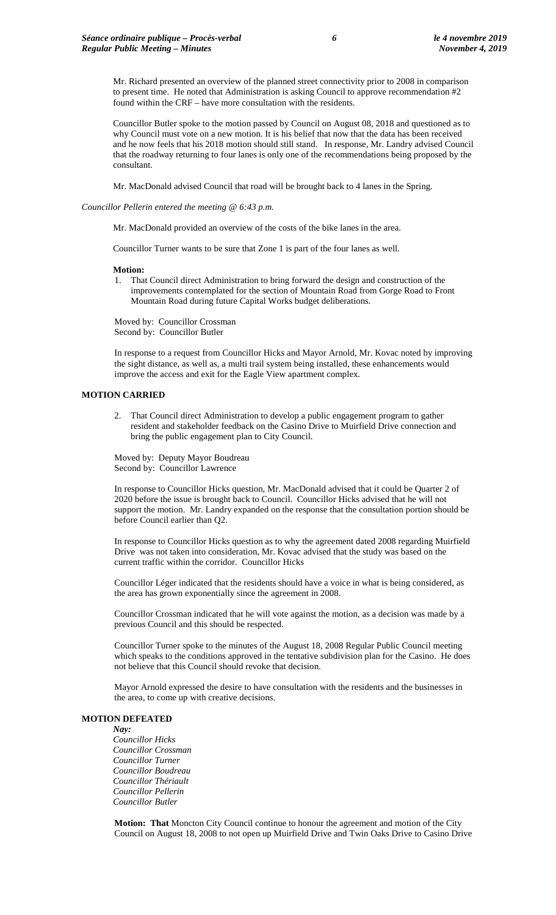Mr. Richard presented an overview of the planned street connectivity prior to 2008 in comparison to present time. He noted that Administration is asking Council to approve recommendation #2 found within the CRF – have more consultation with the residents.

Councillor Butler spoke to the motion passed by Council on August 08, 2018 and questioned as to why Council must vote on a new motion. It is his belief that now that the data has been received and he now feels that his 2018 motion should still stand. In response, Mr. Landry advised Council that the roadway returning to four lanes is only one of the recommendations being proposed by the consultant.

Mr. MacDonald advised Council that road will be brought back to 4 lanes in the Spring.

### *Councillor Pellerin entered the meeting @ 6:43 p.m.*

Mr. MacDonald provided an overview of the costs of the bike lanes in the area.

Councillor Turner wants to be sure that Zone 1 is part of the four lanes as well.

### **Motion:**

1. That Council direct Administration to bring forward the design and construction of the improvements contemplated for the section of Mountain Road from Gorge Road to Front Mountain Road during future Capital Works budget deliberations.

Moved by: Councillor Crossman Second by: Councillor Butler

In response to a request from Councillor Hicks and Mayor Arnold, Mr. Kovac noted by improving the sight distance, as well as, a multi trail system being installed, these enhancements would improve the access and exit for the Eagle View apartment complex.

### **MOTION CARRIED**

2. That Council direct Administration to develop a public engagement program to gather resident and stakeholder feedback on the Casino Drive to Muirfield Drive connection and bring the public engagement plan to City Council.

Moved by: Deputy Mayor Boudreau Second by: Councillor Lawrence

In response to Councillor Hicks question, Mr. MacDonald advised that it could be Quarter 2 of 2020 before the issue is brought back to Council. Councillor Hicks advised that he will not support the motion. Mr. Landry expanded on the response that the consultation portion should be before Council earlier than Q2.

In response to Councillor Hicks question as to why the agreement dated 2008 regarding Muirfield Drive was not taken into consideration, Mr. Kovac advised that the study was based on the current traffic within the corridor. Councillor Hicks

Councillor Léger indicated that the residents should have a voice in what is being considered, as the area has grown exponentially since the agreement in 2008.

Councillor Crossman indicated that he will vote against the motion, as a decision was made by a previous Council and this should be respected.

Councillor Turner spoke to the minutes of the August 18, 2008 Regular Public Council meeting which speaks to the conditions approved in the tentative subdivision plan for the Casino. He does not believe that this Council should revoke that decision.

Mayor Arnold expressed the desire to have consultation with the residents and the businesses in the area, to come up with creative decisions.

# **MOTION DEFEATED**

*Nay: Councillor Hicks Councillor Crossman Councillor Turner Councillor Boudreau Councillor Thériault Councillor Pellerin Councillor Butler*

**Motion: That** Moncton City Council continue to honour the agreement and motion of the City Council on August 18, 2008 to not open up Muirfield Drive and Twin Oaks Drive to Casino Drive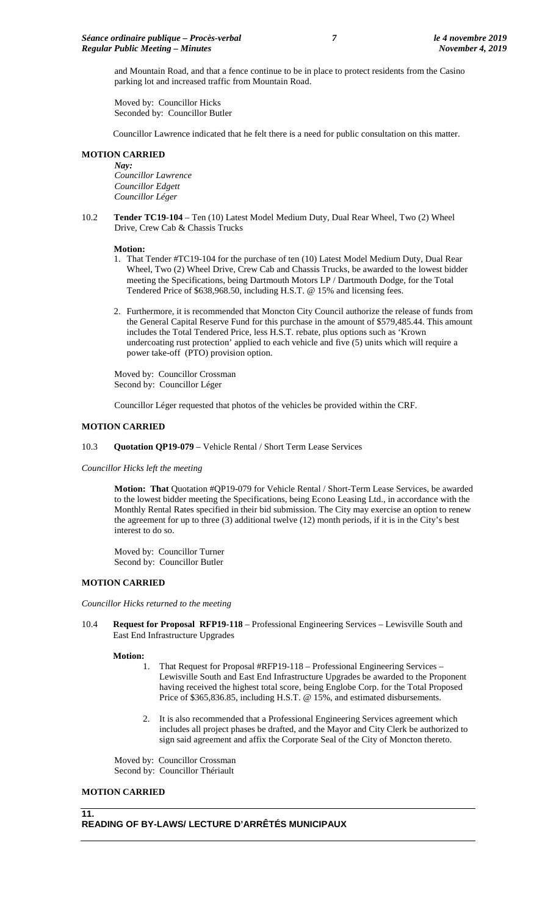and Mountain Road, and that a fence continue to be in place to protect residents from the Casino parking lot and increased traffic from Mountain Road.

Moved by: Councillor Hicks Seconded by: Councillor Butler

Councillor Lawrence indicated that he felt there is a need for public consultation on this matter.

# **MOTION CARRIED**

*Nay: Councillor Lawrence Councillor Edgett Councillor Léger*

10.2 **Tender TC19-104** – Ten (10) Latest Model Medium Duty, Dual Rear Wheel, Two (2) Wheel Drive, Crew Cab & Chassis Trucks

### **Motion:**

- 1. That Tender #TC19-104 for the purchase of ten (10) Latest Model Medium Duty, Dual Rear Wheel, Two (2) Wheel Drive, Crew Cab and Chassis Trucks, be awarded to the lowest bidder meeting the Specifications, being Dartmouth Motors LP / Dartmouth Dodge, for the Total Tendered Price of \$638,968.50, including H.S.T. @ 15% and licensing fees.
- 2. Furthermore, it is recommended that Moncton City Council authorize the release of funds from the General Capital Reserve Fund for this purchase in the amount of \$579,485.44. This amount includes the Total Tendered Price, less H.S.T. rebate, plus options such as 'Krown undercoating rust protection' applied to each vehicle and five (5) units which will require a power take-off (PTO) provision option.

Moved by: Councillor Crossman Second by: Councillor Léger

Councillor Léger requested that photos of the vehicles be provided within the CRF.

### **MOTION CARRIED**

### 10.3 **Quotation QP19-079** – Vehicle Rental / Short Term Lease Services

*Councillor Hicks left the meeting*

**Motion: That** Quotation #QP19-079 for Vehicle Rental / Short-Term Lease Services, be awarded to the lowest bidder meeting the Specifications, being Econo Leasing Ltd., in accordance with the Monthly Rental Rates specified in their bid submission. The City may exercise an option to renew the agreement for up to three (3) additional twelve (12) month periods, if it is in the City's best interest to do so.

Moved by: Councillor Turner Second by: Councillor Butler

# **MOTION CARRIED**

*Councillor Hicks returned to the meeting*

10.4 **Request for Proposal RFP19-118** – Professional Engineering Services – Lewisville South and East End Infrastructure Upgrades

### **Motion:**

- 1. That Request for Proposal #RFP19-118 Professional Engineering Services Lewisville South and East End Infrastructure Upgrades be awarded to the Proponent having received the highest total score, being Englobe Corp. for the Total Proposed Price of \$365,836.85, including H.S.T. @ 15%, and estimated disbursements.
- 2. It is also recommended that a Professional Engineering Services agreement which includes all project phases be drafted, and the Mayor and City Clerk be authorized to sign said agreement and affix the Corporate Seal of the City of Moncton thereto.

Moved by: Councillor Crossman Second by: Councillor Thériault

## **MOTION CARRIED**